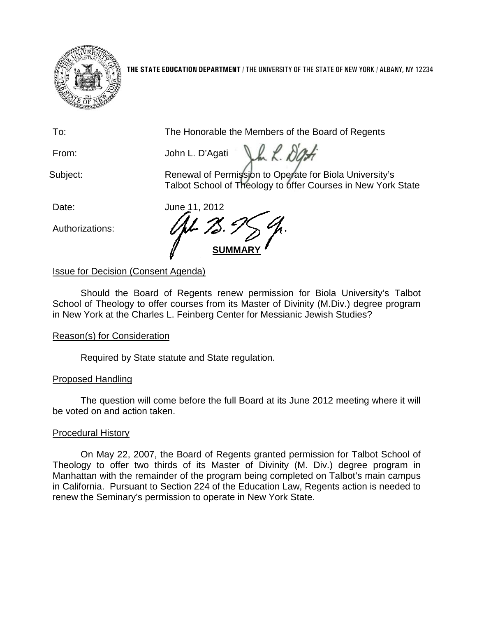

**THE STATE EDUCATION DEPARTMENT** / THE UNIVERSITY OF THE STATE OF NEW YORK / ALBANY, NY 12234

To: The Honorable the Members of the Board of Regents

Vm R. Da. From: John L. D'Agati

Subject: **Renewal of Permission to Operate for Biola University's** Talbot School of Theology to offer Courses in New York State

Authorizations:

Date: June 11, 2012 **SUMMAR** 

# Issue for Decision (Consent Agenda)

Should the Board of Regents renew permission for Biola University's Talbot School of Theology to offer courses from its Master of Divinity (M.Div.) degree program in New York at the Charles L. Feinberg Center for Messianic Jewish Studies?

## Reason(s) for Consideration

Required by State statute and State regulation.

## Proposed Handling

The question will come before the full Board at its June 2012 meeting where it will be voted on and action taken.

## Procedural History

On May 22, 2007, the Board of Regents granted permission for Talbot School of Theology to offer two thirds of its Master of Divinity (M. Div.) degree program in Manhattan with the remainder of the program being completed on Talbot's main campus in California. Pursuant to Section 224 of the Education Law, Regents action is needed to renew the Seminary's permission to operate in New York State.